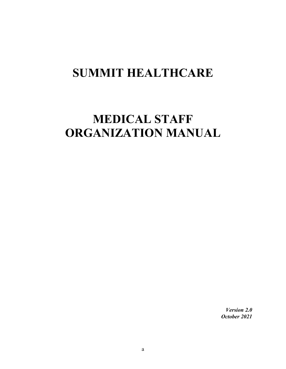# **SUMMIT HEALTHCARE**

# **MEDICAL STAFF ORGANIZATION MANUAL**

*Version 2.0 October 2021*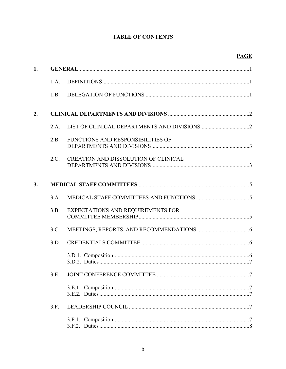# **TABLE OF CONTENTS**

# **PAGE**

| 1. |      |                                             |  |  |
|----|------|---------------------------------------------|--|--|
|    | 1.A. |                                             |  |  |
|    | 1.B. |                                             |  |  |
| 2. |      |                                             |  |  |
|    | 2.A. |                                             |  |  |
|    | 2.B. | FUNCTIONS AND RESPONSIBILITIES OF           |  |  |
|    | 2.C. | <b>CREATION AND DISSOLUTION OF CLINICAL</b> |  |  |
| 3. |      |                                             |  |  |
|    | 3.A. |                                             |  |  |
|    | 3.B. | EXPECTATIONS AND REQUIREMENTS FOR           |  |  |
|    | 3.C. |                                             |  |  |
|    | 3.D. |                                             |  |  |
|    |      |                                             |  |  |
|    | 3.E. |                                             |  |  |
|    |      |                                             |  |  |
|    | 3.F. |                                             |  |  |
|    |      |                                             |  |  |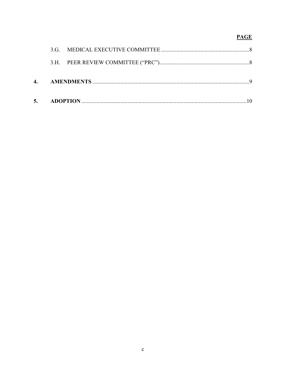# **PAGE**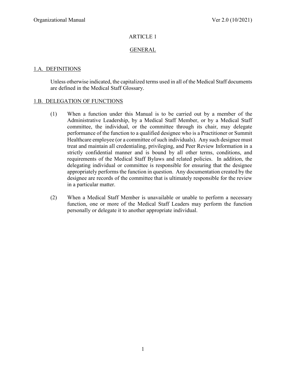### GENERAL

### 1.A. DEFINITIONS

Unless otherwise indicated, the capitalized terms used in all of the Medical Staff documents are defined in the Medical Staff Glossary.

#### 1.B. DELEGATION OF FUNCTIONS

- (1) When a function under this Manual is to be carried out by a member of the Administrative Leadership, by a Medical Staff Member, or by a Medical Staff committee, the individual, or the committee through its chair, may delegate performance of the function to a qualified designee who is a Practitioner or Summit Healthcare employee (or a committee of such individuals). Any such designee must treat and maintain all credentialing, privileging, and Peer Review Information in a strictly confidential manner and is bound by all other terms, conditions, and requirements of the Medical Staff Bylaws and related policies. In addition, the delegating individual or committee is responsible for ensuring that the designee appropriately performs the function in question. Any documentation created by the designee are records of the committee that is ultimately responsible for the review in a particular matter.
- (2) When a Medical Staff Member is unavailable or unable to perform a necessary function, one or more of the Medical Staff Leaders may perform the function personally or delegate it to another appropriate individual.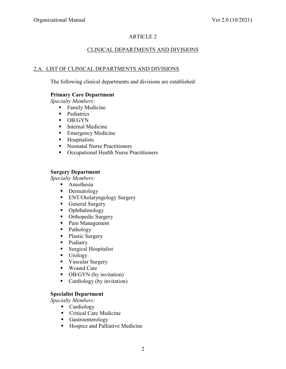### CLINICAL DEPARTMENTS AND DIVISIONS

#### 2.A. LIST OF CLINICAL DEPARTMENTS AND DIVISIONS

The following clinical departments and divisions are established:

#### **Primary Care Department**

*Specialty Members:* 

- **Family Medicine**
- Pediatrics
- **DB/GYN**
- **Internal Medicine**
- **Emergency Medicine**
- **Hospitalists**
- Neonatal Nurse Practitioners
- Occupational Health Nurse Practitioners

#### **Surgery Department**

*Specialty Members:* 

- **Anesthesia**
- Dermatology
- **ENT/Otolaryngology Surgery**
- General Surgery
- Ophthalmology
- Orthopedic Surgery
- Pain Management
- Pathology
- Plastic Surgery
- Podiatry
- **Surgical Hospitalist**
- **Urology**
- Vascular Surgery
- Wound Care
- OB/GYN (by invitation)
- Cardiology (by invitation)

#### **Specialist Department**

*Specialty Members:* 

- **Cardiology**
- Critical Care Medicine
- **Gastroenterology**
- Hospice and Palliative Medicine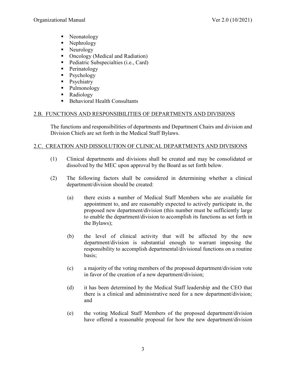- Neonatology
- Nephrology
- Neurology
- Oncology (Medical and Radiation)
- Pediatric Subspecialties (i.e., Card)
- **Perinatology**
- **P**sychology
- Psychiatry
- Pulmonology
- **Radiology**
- $\blacksquare$  Behavioral Health Consultants

#### 2.B. FUNCTIONS AND RESPONSIBILITIES OF DEPARTMENTS AND DIVISIONS

The functions and responsibilities of departments and Department Chairs and division and Division Chiefs are set forth in the Medical Staff Bylaws.

#### 2.C. CREATION AND DISSOLUTION OF CLINICAL DEPARTMENTS AND DIVISIONS

- (1) Clinical departments and divisions shall be created and may be consolidated or dissolved by the MEC upon approval by the Board as set forth below.
- (2) The following factors shall be considered in determining whether a clinical department/division should be created:
	- (a) there exists a number of Medical Staff Members who are available for appointment to, and are reasonably expected to actively participate in, the proposed new department/division (this number must be sufficiently large to enable the department/division to accomplish its functions as set forth in the Bylaws);
	- (b) the level of clinical activity that will be affected by the new department/division is substantial enough to warrant imposing the responsibility to accomplish departmental/divisional functions on a routine basis;
	- (c) a majority of the voting members of the proposed department/division vote in favor of the creation of a new department/division;
	- (d) it has been determined by the Medical Staff leadership and the CEO that there is a clinical and administrative need for a new department/division; and
	- (e) the voting Medical Staff Members of the proposed department/division have offered a reasonable proposal for how the new department/division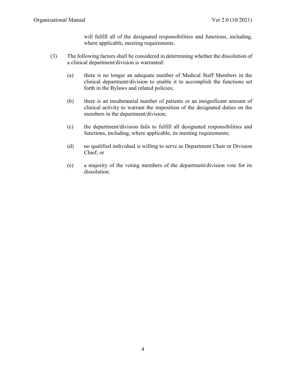will fulfill all of the designated responsibilities and functions, including, where applicable, meeting requirements.

- (3) The following factors shall be considered in determining whether the dissolution of a clinical department/division is warranted:
	- (a) there is no longer an adequate number of Medical Staff Members in the clinical department/division to enable it to accomplish the functions set forth in the Bylaws and related policies;
	- (b) there is an insubstantial number of patients or an insignificant amount of clinical activity to warrant the imposition of the designated duties on the members in the department/division;
	- (c) the department/division fails to fulfill all designated responsibilities and functions, including, where applicable, its meeting requirements;
	- (d) no qualified individual is willing to serve as Department Chair or Division Chief; or
	- (e) a majority of the voting members of the department/division vote for its dissolution.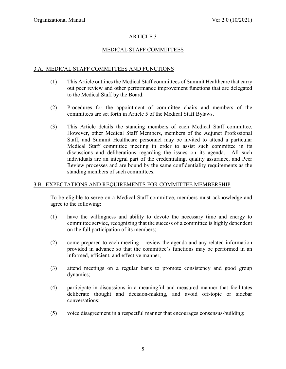## MEDICAL STAFF COMMITTEES

#### 3.A. MEDICAL STAFF COMMITTEES AND FUNCTIONS

- (1) This Article outlines the Medical Staff committees of Summit Healthcare that carry out peer review and other performance improvement functions that are delegated to the Medical Staff by the Board.
- (2) Procedures for the appointment of committee chairs and members of the committees are set forth in Article 5 of the Medical Staff Bylaws.
- (3) This Article details the standing members of each Medical Staff committee. However, other Medical Staff Members, members of the Adjunct Professional Staff, and Summit Healthcare personnel may be invited to attend a particular Medical Staff committee meeting in order to assist such committee in its discussions and deliberations regarding the issues on its agenda. All such individuals are an integral part of the credentialing, quality assurance, and Peer Review processes and are bound by the same confidentiality requirements as the standing members of such committees.

#### 3.B. EXPECTATIONS AND REQUIREMENTS FOR COMMITTEE MEMBERSHIP

To be eligible to serve on a Medical Staff committee, members must acknowledge and agree to the following:

- (1) have the willingness and ability to devote the necessary time and energy to committee service, recognizing that the success of a committee is highly dependent on the full participation of its members;
- (2) come prepared to each meeting review the agenda and any related information provided in advance so that the committee's functions may be performed in an informed, efficient, and effective manner;
- (3) attend meetings on a regular basis to promote consistency and good group dynamics;
- (4) participate in discussions in a meaningful and measured manner that facilitates deliberate thought and decision-making, and avoid off-topic or sidebar conversations;
- (5) voice disagreement in a respectful manner that encourages consensus-building;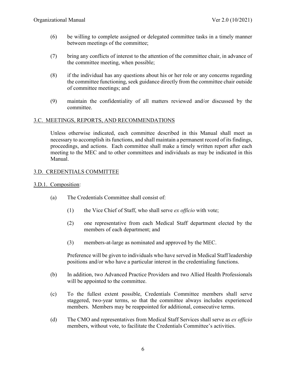- (6) be willing to complete assigned or delegated committee tasks in a timely manner between meetings of the committee;
- (7) bring any conflicts of interest to the attention of the committee chair, in advance of the committee meeting, when possible;
- (8) if the individual has any questions about his or her role or any concerns regarding the committee functioning, seek guidance directly from the committee chair outside of committee meetings; and
- (9) maintain the confidentiality of all matters reviewed and/or discussed by the committee.

#### 3.C. MEETINGS, REPORTS, AND RECOMMENDATIONS

Unless otherwise indicated, each committee described in this Manual shall meet as necessary to accomplish its functions, and shall maintain a permanent record of its findings, proceedings, and actions. Each committee shall make a timely written report after each meeting to the MEC and to other committees and individuals as may be indicated in this Manual.

#### 3.D. CREDENTIALS COMMITTEE

#### 3.D.1. Composition:

- (a) The Credentials Committee shall consist of:
	- (1) the Vice Chief of Staff, who shall serve *ex officio* with vote;
	- (2) one representative from each Medical Staff department elected by the members of each department; and
	- (3) members-at-large as nominated and approved by the MEC.

Preference will be given to individuals who have served in Medical Staff leadership positions and/or who have a particular interest in the credentialing functions.

- (b) In addition, two Advanced Practice Providers and two Allied Health Professionals will be appointed to the committee.
- (c) To the fullest extent possible, Credentials Committee members shall serve staggered, two-year terms, so that the committee always includes experienced members. Members may be reappointed for additional, consecutive terms.
- (d) The CMO and representatives from Medical Staff Services shall serve as *ex officio* members, without vote, to facilitate the Credentials Committee's activities.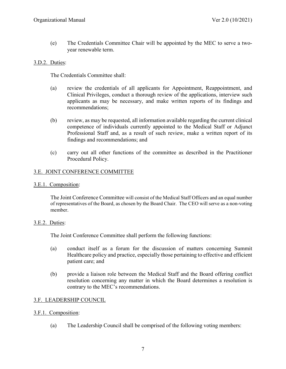(e) The Credentials Committee Chair will be appointed by the MEC to serve a twoyear renewable term.

#### 3.D.2. Duties:

The Credentials Committee shall:

- (a) review the credentials of all applicants for Appointment, Reappointment, and Clinical Privileges, conduct a thorough review of the applications, interview such applicants as may be necessary, and make written reports of its findings and recommendations;
- (b) review, as may be requested, all information available regarding the current clinical competence of individuals currently appointed to the Medical Staff or Adjunct Professional Staff and, as a result of such review, make a written report of its findings and recommendations; and
- (c) carry out all other functions of the committee as described in the Practitioner Procedural Policy.

#### 3.E. JOINT CONFERENCE COMMITTEE

#### 3.E.1. Composition:

The Joint Conference Committee will consist of the Medical Staff Officers and an equal number of representatives of the Board, as chosen by the Board Chair. The CEO will serve as a non-voting member.

#### 3.E.2. Duties:

The Joint Conference Committee shall perform the following functions:

- (a) conduct itself as a forum for the discussion of matters concerning Summit Healthcare policy and practice, especially those pertaining to effective and efficient patient care; and
- (b) provide a liaison role between the Medical Staff and the Board offering conflict resolution concerning any matter in which the Board determines a resolution is contrary to the MEC's recommendations.

#### 3.F. LEADERSHIP COUNCIL

#### 3.F.1. Composition:

(a) The Leadership Council shall be comprised of the following voting members: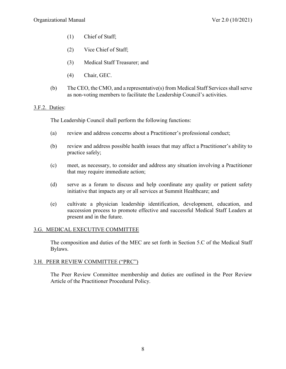- (1) Chief of Staff;
- (2) Vice Chief of Staff;
- (3) Medical Staff Treasurer; and
- (4) Chair, GEC.
- (b) The CEO, the CMO, and a representative(s) from Medical Staff Services shall serve as non-voting members to facilitate the Leadership Council's activities.

#### 3.F.2. Duties:

The Leadership Council shall perform the following functions:

- (a) review and address concerns about a Practitioner's professional conduct;
- (b) review and address possible health issues that may affect a Practitioner's ability to practice safely;
- (c) meet, as necessary, to consider and address any situation involving a Practitioner that may require immediate action;
- (d) serve as a forum to discuss and help coordinate any quality or patient safety initiative that impacts any or all services at Summit Healthcare; and
- (e) cultivate a physician leadership identification, development, education, and succession process to promote effective and successful Medical Staff Leaders at present and in the future.

#### 3.G. MEDICAL EXECUTIVE COMMITTEE

The composition and duties of the MEC are set forth in Section 5.C of the Medical Staff Bylaws.

#### 3.H. PEER REVIEW COMMITTEE ("PRC")

The Peer Review Committee membership and duties are outlined in the Peer Review Article of the Practitioner Procedural Policy.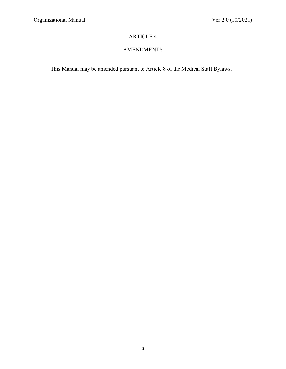# **AMENDMENTS**

This Manual may be amended pursuant to Article 8 of the Medical Staff Bylaws.